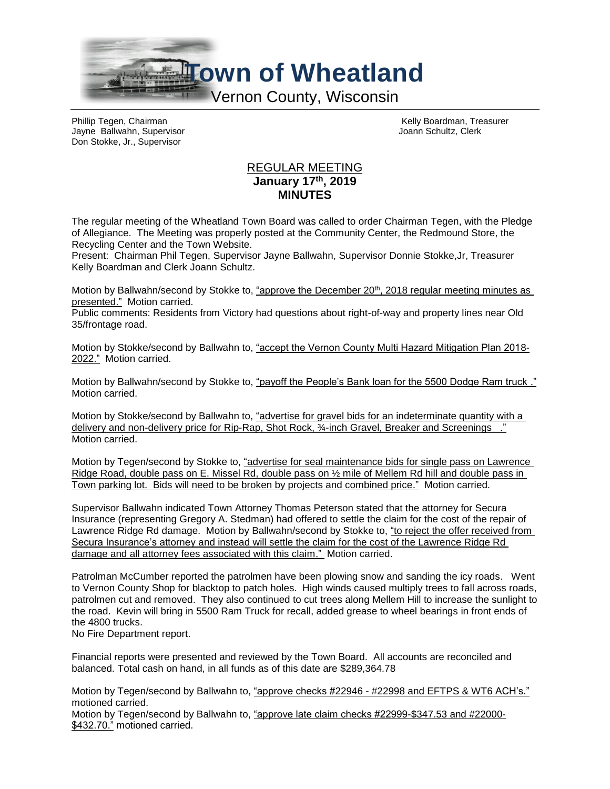

Jayne Ballwahn, Supervisor Don Stokke, Jr., Supervisor

Phillip Tegen, Chairman (Chairman Chairman Kelly Boardman, Treasurer New York Chairman Kelly Boardman, Treasurer<br>
The Hairman Kelly Board Chairman Kelly Board Chairman Schultz, Clerk (Chairman Chairman Chairman Chairman Ch

## REGULAR MEETING **January 17th, 2019 MINUTES**

The regular meeting of the Wheatland Town Board was called to order Chairman Tegen, with the Pledge of Allegiance. The Meeting was properly posted at the Community Center, the Redmound Store, the Recycling Center and the Town Website.

Present: Chairman Phil Tegen, Supervisor Jayne Ballwahn, Supervisor Donnie Stokke,Jr, Treasurer Kelly Boardman and Clerk Joann Schultz.

Motion by Ballwahn/second by Stokke to, "approve the December 20th, 2018 regular meeting minutes as presented." Motion carried.

Public comments: Residents from Victory had questions about right-of-way and property lines near Old 35/frontage road.

Motion by Stokke/second by Ballwahn to, "accept the Vernon County Multi Hazard Mitigation Plan 2018- 2022." Motion carried.

Motion by Ballwahn/second by Stokke to, "payoff the People's Bank loan for the 5500 Dodge Ram truck ." Motion carried.

Motion by Stokke/second by Ballwahn to, "advertise for gravel bids for an indeterminate quantity with a delivery and non-delivery price for Rip-Rap, Shot Rock, ¾-inch Gravel, Breaker and Screenings ." Motion carried.

Motion by Tegen/second by Stokke to, "advertise for seal maintenance bids for single pass on Lawrence Ridge Road, double pass on E. Missel Rd, double pass on ½ mile of Mellem Rd hill and double pass in Town parking lot. Bids will need to be broken by projects and combined price." Motion carried.

Supervisor Ballwahn indicated Town Attorney Thomas Peterson stated that the attorney for Secura Insurance (representing Gregory A. Stedman) had offered to settle the claim for the cost of the repair of Lawrence Ridge Rd damage. Motion by Ballwahn/second by Stokke to, "to reject the offer received from Secura Insurance's attorney and instead will settle the claim for the cost of the Lawrence Ridge Rd damage and all attorney fees associated with this claim." Motion carried.

Patrolman McCumber reported the patrolmen have been plowing snow and sanding the icy roads. Went to Vernon County Shop for blacktop to patch holes. High winds caused multiply trees to fall across roads, patrolmen cut and removed. They also continued to cut trees along Mellem Hill to increase the sunlight to the road. Kevin will bring in 5500 Ram Truck for recall, added grease to wheel bearings in front ends of the 4800 trucks.

No Fire Department report.

Financial reports were presented and reviewed by the Town Board. All accounts are reconciled and balanced. Total cash on hand, in all funds as of this date are \$289,364.78

Motion by Tegen/second by Ballwahn to, "approve checks #22946 - #22998 and EFTPS & WT6 ACH's." motioned carried.

Motion by Tegen/second by Ballwahn to, "approve late claim checks #22999-\$347.53 and #22000- \$432.70." motioned carried.